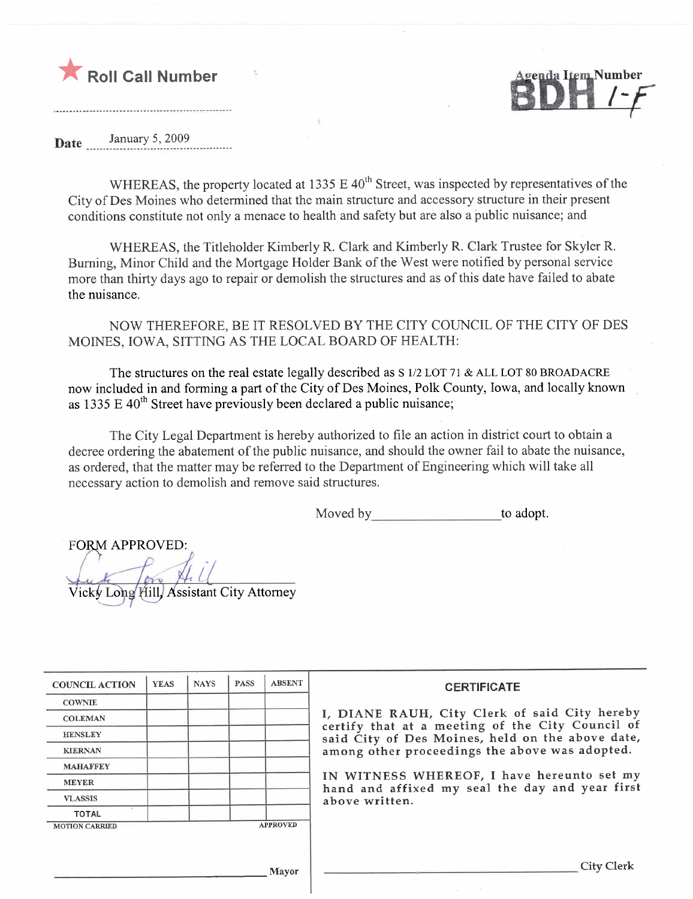



Date January 5, 2009

WHEREAS, the property located at 1335 E  $40<sup>th</sup>$  Street, was inspected by representatives of the City of Des Moines who determined that the main structure and accessory structure in their present conditions constitute not only a menace to health and safety but are also a public nuisance; and

WHEREAS, the Titleholder Kimberly R. Clark and Kimberly R. Clark Trustee for Skyler R. Burning, Minor Child and the Mortgage Holder Bank of the West were notified by personal service more than thirty days ago to repair or demolish the structures and as of this date have failed to abate the nuisance.

NOW THEREFORE, BE IT RESOLVED BY THE CITY COUNCIL OF THE CITY OF DES MOINES, IOWA, SITTING AS THE LOCAL BOARD OF HEALTH:

The structures on the real estate legally described as S 1/2 LOT 71 & ALL LOT 80 BROADACRE now included in and forming a part of the City of Des Moines, Polk County, Iowa, and locally known as 1335 E  $40<sup>th</sup>$  Street have previously been declared a public nuisance;

The City Legal Department is hereby authorized to file an action in district court to obtain a decree ordering the abatement of the public nuisance, and should the owner fail to abate the nuisance, as ordered, that the matter may be referred to the Department of Engineering which will take all necessary action to demolish and remove said structures.

Moved by to adopt.

**FORM APPROVED:** L

Vicky Long Hill, Assistant City Attorney

| <b>COUNCIL ACTION</b> | <b>YEAS</b> | <b>NAYS</b> | <b>PASS</b> | <b>ABSENT</b>   | <b>CERTIFICATE</b>                                                                                   |
|-----------------------|-------------|-------------|-------------|-----------------|------------------------------------------------------------------------------------------------------|
| <b>COWNIE</b>         |             |             |             |                 |                                                                                                      |
| <b>COLEMAN</b>        |             |             |             |                 | I, DIANE RAUH, City Clerk of said City hereby                                                        |
| <b>HENSLEY</b>        |             |             |             |                 | certify that at a meeting of the City Council of<br>said City of Des Moines, held on the above date, |
| <b>KIERNAN</b>        |             |             |             |                 | among other proceedings the above was adopted.                                                       |
| <b>MAHAFFEY</b>       |             |             |             |                 |                                                                                                      |
| <b>MEYER</b>          |             |             |             |                 | IN WITNESS WHEREOF, I have hereunto set my<br>hand and affixed my seal the day and year first        |
| <b>VLASSIS</b>        |             |             |             |                 | above written.                                                                                       |
| <b>TOTAL</b>          |             |             |             |                 |                                                                                                      |
| <b>MOTION CARRIED</b> |             |             |             | <b>APPROVED</b> |                                                                                                      |
|                       |             |             |             |                 |                                                                                                      |
|                       |             |             |             |                 | City Clerk                                                                                           |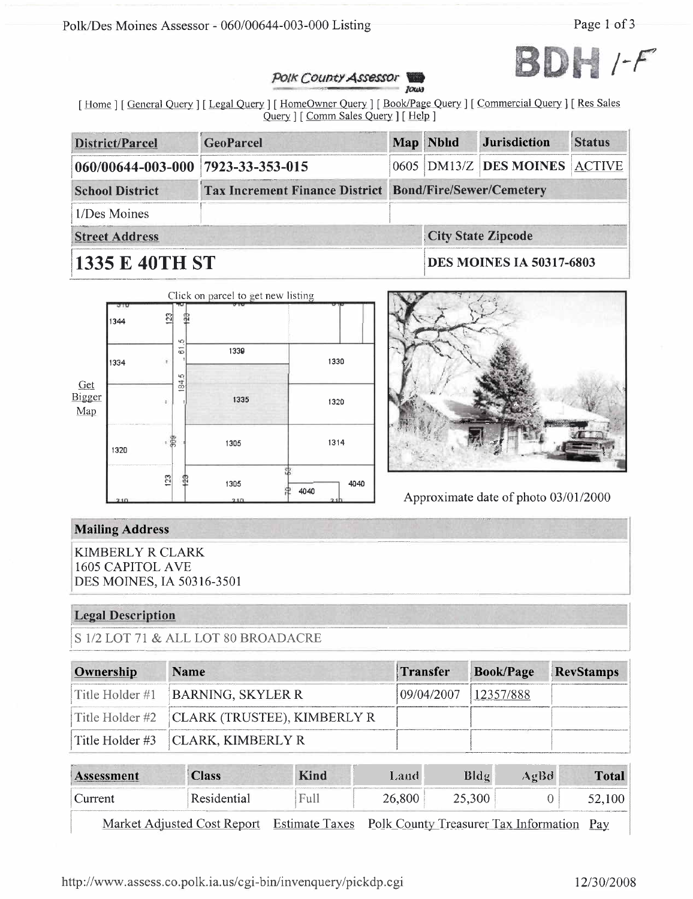Polk/Des Moines Assessor - 060/00644-003-000 Listing

Page 1 of 3



#### Polk County Assessor Тоша

[Home ] [General Query ] [Legal Query ] [HomeOwner Query ] [Book/Page Query ] [Commercial Query ] [Res Sales Query ] [ Comm Sales Query ] [ Help ]

| <b>District/Parcel</b>                                                                   | <b>GeoParcel</b> |                                 | Map Nbhd | <b>Jurisdiction</b>           | <b>Status</b> |  |
|------------------------------------------------------------------------------------------|------------------|---------------------------------|----------|-------------------------------|---------------|--|
| 060/00644-003-000 7923-33-353-015                                                        |                  |                                 |          | 0605 DM13/Z DES MOINES ACTIVE |               |  |
| <b>Tax Increment Finance District Bond/Fire/Sewer/Cemetery</b><br><b>School District</b> |                  |                                 |          |                               |               |  |
| 1/Des Moines                                                                             |                  |                                 |          |                               |               |  |
| <b>Street Address</b>                                                                    |                  |                                 |          | <b>City State Zipcode</b>     |               |  |
| <b>1335 E 40TH ST</b>                                                                    |                  | <b>DES MOINES IA 50317-6803</b> |          |                               |               |  |





Approximate date of photo 03/01/2000

# **Mailing Address**

**KIMBERLY R CLARK 1605 CAPITOL AVE** DES MOINES, IA 50316-3501

### **Legal Description**

S 1/2 LOT 71 & ALL LOT 80 BROADACRE

| Ownership | <b>Name</b>                                 | Transfer             | Book/Page RevStamps |  |
|-----------|---------------------------------------------|----------------------|---------------------|--|
|           | Title Holder $#1$ <b>BARNING, SKYLER R</b>  | 09/04/2007 12357/888 |                     |  |
|           | Title Holder #2 CLARK (TRUSTEE), KIMBERLY R |                      |                     |  |
|           | Title Holder $\#3$   CLARK, KIMBERLY R      |                      |                     |  |

| 44 14<br>Assessment | <b>Class</b> | <b>Kind</b> | Land - | Bldg   | AgBd | Total |
|---------------------|--------------|-------------|--------|--------|------|-------|
| Current             | Residential  | Full        | 26,800 | 25,300 |      |       |
|                     |              | __          | .      | $-$    |      |       |

Market Adjusted Cost Report Estimate Taxes Polk County Treasurer Tax Information Pay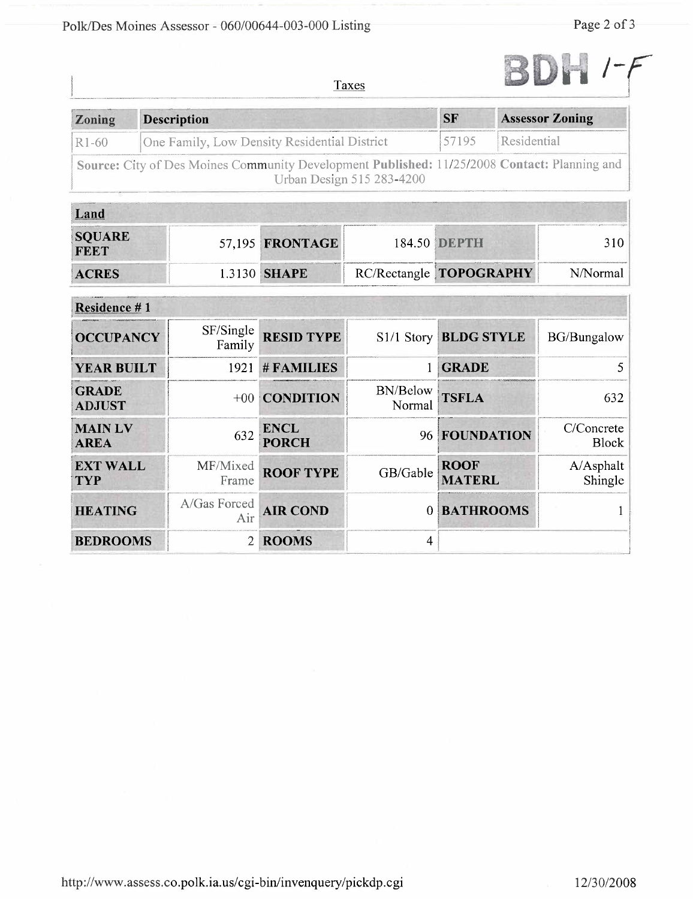

Taxes

| Zoning             | <b>Description</b>                                                                                                        | <b>SF</b> | <b>Assessor Zoning</b> |
|--------------------|---------------------------------------------------------------------------------------------------------------------------|-----------|------------------------|
| R <sub>1</sub> -60 | One Family, Low Density Residential District                                                                              | 57195     | Residential            |
|                    | Source: City of Des Moines Community Development Published: 11/25/2008 Contact: Planning and<br>Urban Design 515 283-4200 |           |                        |

| Land                         |                     |  |                                |          |
|------------------------------|---------------------|--|--------------------------------|----------|
| <b>SQUARE</b><br><b>FEET</b> | 57,195 FRONTAGE     |  | 184.50 DEPTH                   | 310-     |
| <b>ACRES</b>                 | 1.3130 <b>SHAPE</b> |  | RC/Rectangle <b>TOPOGRAPHY</b> | N/Normal |

| <b>Residence #1</b>           |                           |                             |                           |                              |                            |
|-------------------------------|---------------------------|-----------------------------|---------------------------|------------------------------|----------------------------|
| <b>OCCUPANCY</b>              | SF/Single<br>Family       | <b>RESID TYPE</b>           | $S1/1$ Story              | <b>BLDG STYLE</b>            | <b>BG/Bungalow</b>         |
| <b>YEAR BUILT</b>             | 1921                      | #FAMILIES                   |                           | <b>GRADE</b>                 |                            |
| <b>GRADE</b><br><b>ADJUST</b> |                           | +00 CONDITION               | <b>BN/Below</b><br>Normal | <b>TSFLA</b>                 | 632                        |
| <b>MAIN LV</b><br><b>AREA</b> | 632                       | <b>ENCL</b><br><b>PORCH</b> | 96                        | FOUNDATION                   | C/Concrete<br><b>Block</b> |
| <b>EXT WALL</b><br><b>TYP</b> | MF/Mixed<br>Frame         | <b>ROOF TYPE</b>            | GB/Gable                  | <b>ROOF</b><br><b>MATERL</b> | A/Asphalt<br>Shingle       |
| <b>HEATING</b>                | A/Gas Forced<br>Air       | <b>AIR COND</b>             | $\Omega$                  | <b>BATHROOMS</b>             |                            |
| <b>BEDROOMS</b>               | $\mathbf{2}^{\mathsf{-}}$ | <b>ROOMS</b>                | 4                         |                              |                            |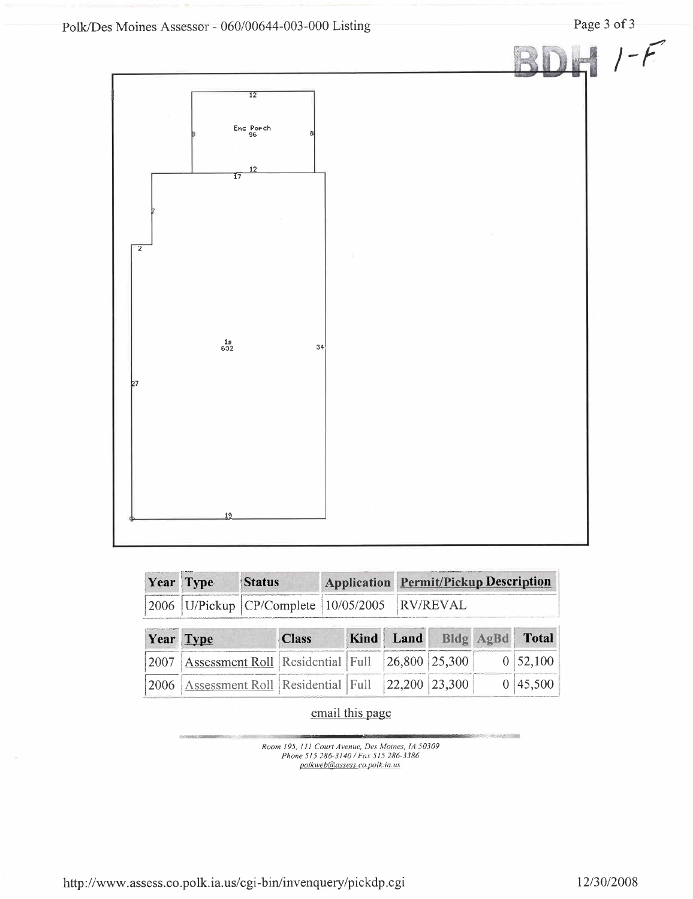

| Year Type | <b>Status</b>                                         | <b>Application Permit/Pickup Description</b> |
|-----------|-------------------------------------------------------|----------------------------------------------|
|           | 2006   U/Pickup   CP/Complete   10/05/2005   RV/REVAL |                                              |

|             | Year Type                                      | <b>Class</b> | Kind Land | Bldg AgBd | <b>Total</b>                  |
|-------------|------------------------------------------------|--------------|-----------|-----------|-------------------------------|
| 12007       | Assessment Roll Residential Full 26,800 25,300 |              |           |           | $\vert 0 \vert 52, 100 \vert$ |
| <b>2006</b> | Assessment Roll Residential Full 22,200 23,300 |              |           |           | 0 45,500                      |

## email this page

Room 195, 111 Court Avenue, Des Moines, 1A 50309<br>Phone 515 286-3140 / Fax 515 286-3386<br>polkweb@assess.co.polk.ia.us

http://www.assess.co.polk.ia.us/cgi-bin/invenquery/pickdp.cgi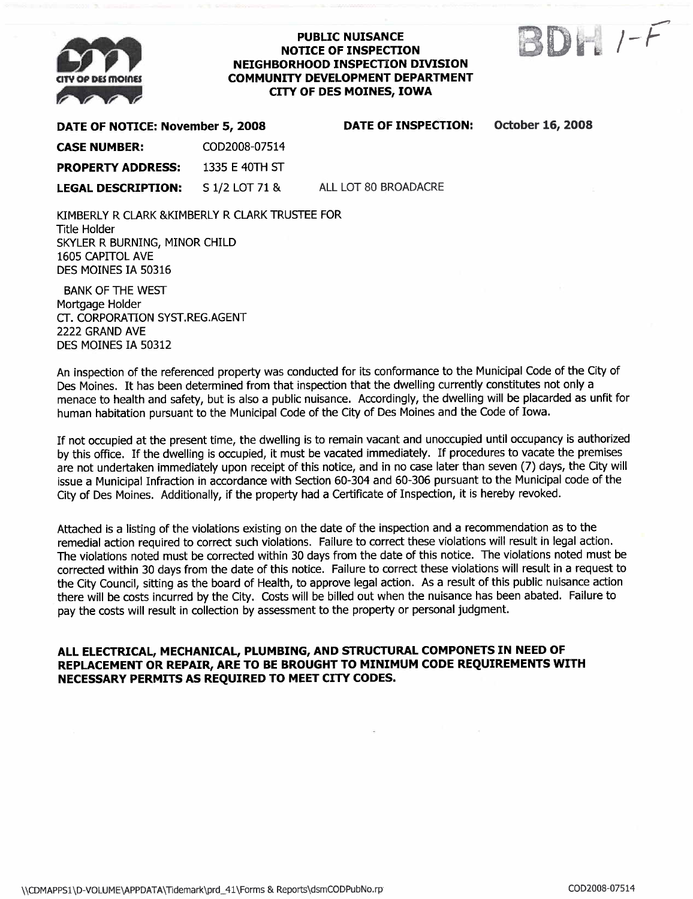

#### PUBLIC NUISANCE NOTICE OF INSPECTION NEIGHBORHOOD INSPECTION DIVISION COMMUNITY DEVELOPMENT DEPARTMENT CITY OF DES MOINES, IOWA



DATE OF NOTICE: November 5, 2008 CASE NUMBER: COD2008-07514 PROPERTY ADDRESS: 1335 E 40TH ST LEGAL DESCRIPTION: S 1/2 LOT 71 & DATE OF INSPECTION: October 16, 2008

ALL LOT 80 BROADACRE

KIMBERLY R CLARK & KIMBERLY R CLARK TRUSTEE FOR Title Holder SKYLER R BURNING, MINOR CHILD 1605 CAPITOL AVE DES MOINES IA 50316

BANK OF THE WEST Mortgage Holder cr. CORPORATION SYST.REG.AGENT 2222 GRAND AVE DES MOINES IA 50312

An inspection of the referenced property was conducted for its conformance to the Municipal Code of the City of Des Moines. It has been determined from that inspection that the dwelling currently constitutes not only a menace to health and safety, but is also a public nuisance. Accordingly, the dwelling will be placarded as unfit for human habitation pursuant to the Municipal Code of the City of Des Moines and the Code of Iowa.

If not occupied at the present time, the dwelling is to remain vacant and unoccupied until occupancy is authorized by this office. If the dwelling is occupied, it must be vacated immediately. If procedures to vacate the premises are not undertaken immediately upon receipt of this notice, and in no case later than seven (7) days, the City will issue a Municipal Infraction in accordance with Section 60-304 and 60-306 pursuant to the Municipal code of the City of Des Moines. Additionally, if the property had a Certificate of Inspection, it is hereby revoked.

Attached is a listing of the violations existing on the date of the inspection and a recommendation as to the remedial action required to correct such violations. Failure to correct these violations will result in legal action. The violations noted must be corrected within 30 days from the date of this notice. The violations noted must be corrected within 30 days from the date of this notice. Failure to correct these violations wil result in a request to the City Council, sitting as the board of Health, to approve legal action. As a result of this public nuisance action there will be costs incurred by the City. Costs will be billed out when the nuisance has been abated. Failure to pay the costs will result in collection by assessment to the property or personal judgment.

#### ALL ELECTRICAL, MECHANICAL, PLUMBING, AND STRUCTURAL COMPONETS IN NEED OF REPLACEMENT OR REPAIR, ARE TO BE BROUGHT TO MINIMUM CODE REQUIREMENTS WITH NECESSARY PERMITS AS REQUIRED TO MEET CITY CODES.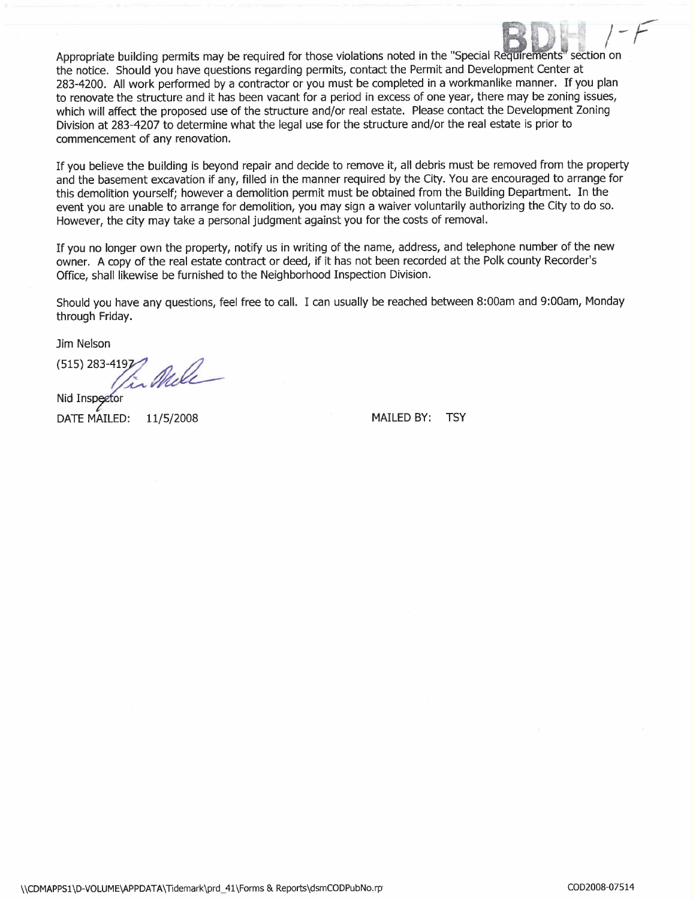Appropriate building permits may be required for those violations noted in the "Special Requirements" section on the notice. Should you have questions regarding permits, contact the Permit and Development Center at 283-4200. All work performed by a contractor or you must be completed in a workmanlike manner. If you plan to renovate the structure and it has been vacant for a period in excess of one year, there may be zoning issues, which will affect the proposed use of the structure and/or real estate. Please contact the Development Zoning Division at 283-4207 to determine what the legal use for the structure and/or the real estate is prior to commencement of any renovation.

If you believe the building is beyond repair and decide to remove it, all debris must be removed from the property and the basement excavation if any, filled in the manner required by the City. You are encouraged to arrange for this demolition yourself; however a demolition permit must be obtained from the Building Department. In the event you are unable to arrange for demolition, you may sign a waiver voluntarily authorizing the City to do so. However, the city may take a personal judgment against you for the costs of removaL.

If you no longer own the property, notify us in writing of the name, address, and telephone number of the new owner. A copy of the real estate contract or deed, if it has not been recorded at the Polk county Recorder's Office, shall likewise be furnished to the Neighborhood Inspection Division.

Should you have any questions, feel free to call. I can usually be reached between 8:00am and 9:00am, Monday through Friday.

Jim Nelson

 $(515)$  283-419 $\gamma$  and

Nid Inspector DATE MAILED: 11/5/2008 MAILED BY: TSY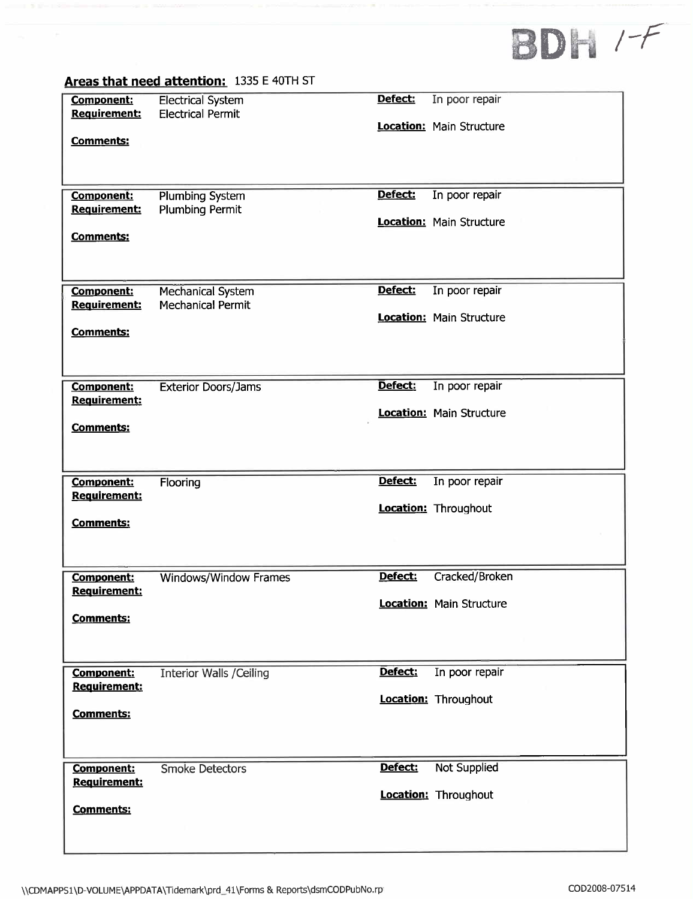# **BDH /-F**

|                                          | Areas that need attention: 1335 E 40TH ST            |         |                                 |
|------------------------------------------|------------------------------------------------------|---------|---------------------------------|
| <b>Component:</b><br><b>Requirement:</b> | <b>Electrical System</b><br><b>Electrical Permit</b> | Defect: | In poor repair                  |
|                                          |                                                      |         | <b>Location:</b> Main Structure |
| <b>Comments:</b>                         |                                                      |         |                                 |
|                                          |                                                      |         |                                 |
| Component:<br><b>Requirement:</b>        | <b>Plumbing System</b><br><b>Plumbing Permit</b>     | Defect: | In poor repair                  |
|                                          |                                                      |         | <b>Location:</b> Main Structure |
| <b>Comments:</b>                         |                                                      |         |                                 |
|                                          |                                                      |         |                                 |
| <b>Component:</b>                        | <b>Mechanical System</b>                             | Defect: | In poor repair                  |
| <b>Requirement:</b>                      | <b>Mechanical Permit</b>                             |         | Location: Main Structure        |
| <b>Comments:</b>                         |                                                      |         |                                 |
|                                          |                                                      |         |                                 |
|                                          |                                                      |         |                                 |
| <b>Component:</b><br>Requirement:        | <b>Exterior Doors/Jams</b>                           | Defect: | In poor repair                  |
|                                          |                                                      |         | <b>Location:</b> Main Structure |
| <b>Comments:</b>                         |                                                      |         |                                 |
|                                          |                                                      |         |                                 |
| <b>Component:</b>                        | Flooring                                             | Defect: | In poor repair                  |
| Requirement:                             |                                                      |         | <b>Location: Throughout</b>     |
| <b>Comments:</b>                         |                                                      |         |                                 |
|                                          |                                                      |         |                                 |
| <b>Component:</b>                        | Windows/Window Frames                                | Defect: | Cracked/Broken                  |
| Requirement:                             |                                                      |         | <b>Location:</b> Main Structure |
| <b>Comments:</b>                         |                                                      |         |                                 |
|                                          |                                                      |         |                                 |
| Component:                               | <b>Interior Walls /Ceiling</b>                       | Defect: | In poor repair                  |
| <b>Requirement:</b>                      |                                                      |         | Location: Throughout            |
| Comments:                                |                                                      |         |                                 |
|                                          |                                                      |         |                                 |
| <b>Component:</b>                        | <b>Smoke Detectors</b>                               | Defect: | <b>Not Supplied</b>             |
| Requirement:                             |                                                      |         | Location: Throughout            |
| <b>Comments:</b>                         |                                                      |         |                                 |
|                                          |                                                      |         |                                 |
|                                          |                                                      |         |                                 |